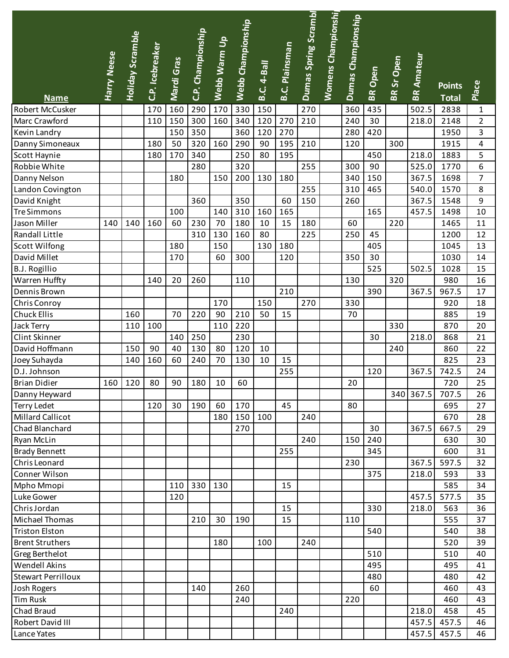|                               |                    |                         |                 |            |                   |              | Webb Championship |                    |                       | Dumas Spring Scrambl | Womens Championshi | Dumas Championship |                |            |                   |               |                |
|-------------------------------|--------------------|-------------------------|-----------------|------------|-------------------|--------------|-------------------|--------------------|-----------------------|----------------------|--------------------|--------------------|----------------|------------|-------------------|---------------|----------------|
|                               |                    | <b>Holiday Scramble</b> |                 |            | C.P. Championship |              |                   |                    |                       |                      |                    |                    |                |            |                   |               |                |
|                               |                    |                         | C.P. Icebreaker |            |                   | Webb Warm Up |                   |                    | <b>B.C. Plainsman</b> |                      |                    |                    |                |            |                   |               |                |
|                               | <b>Harry Neese</b> |                         |                 | Mardi Gras |                   |              |                   | <b>B.C. 4-Ball</b> |                       |                      |                    |                    |                | BR Sr Open | <b>BR Amateur</b> |               |                |
|                               |                    |                         |                 |            |                   |              |                   |                    |                       |                      |                    |                    |                |            |                   |               |                |
|                               |                    |                         |                 |            |                   |              |                   |                    |                       |                      |                    |                    | <b>BR</b> Open |            |                   | <b>Points</b> | Place          |
| <b>Name</b>                   |                    |                         |                 |            |                   |              |                   |                    |                       |                      |                    |                    |                |            |                   | <b>Total</b>  |                |
| Robert McCusker               |                    |                         | 170             | 160        | 290               | 170          | 330               | 150                |                       | 270                  |                    | 360                | 435            |            | 502.5             | 2838          | $\mathbf{1}$   |
| Marc Crawford                 |                    |                         | 110             | 150        | 300               | 160          | 340               | 120                | 270                   | 210                  |                    | 240                | 30             |            | 218.0             | 2148          | $\overline{2}$ |
| Kevin Landry                  |                    |                         |                 | 150        | 350               |              | 360               | 120                | 270                   |                      |                    | 280                | 420            |            |                   | 1950          | 3              |
| Danny Simoneaux               |                    |                         | 180             | 50         | 320               | 160          | 290               | 90                 | 195                   | 210                  |                    | 120                |                | 300        |                   | 1915          | 4              |
| Scott Haynie                  |                    |                         | 180             | 170        | 340               |              | 250               | 80                 | 195                   |                      |                    |                    | 450            |            | 218.0             | 1883          | 5              |
| Robbie White                  |                    |                         |                 |            | 280               |              | 320               |                    |                       | 255                  |                    | 300                | 90             |            | 525.0             | 1770          | 6              |
| Danny Nelson                  |                    |                         |                 | 180        |                   | 150          | 200               | 130                | 180                   |                      |                    | 340                | 150            |            | 367.5             | 1698          | $\overline{7}$ |
| Landon Covington              |                    |                         |                 |            |                   |              |                   |                    |                       | 255                  |                    | 310                | 465            |            | 540.0             | 1570          | 8              |
| David Knight                  |                    |                         |                 |            | 360               |              | 350               |                    | 60                    | 150                  |                    | 260                |                |            | 367.5             | 1548          | 9              |
| <b>Tre Simmons</b>            |                    |                         |                 | 100        |                   | 140          | 310               | 160                | 165                   |                      |                    |                    | 165            |            | 457.5             | 1498          | 10             |
| Jason Miller                  | 140                | 140                     | 160             | 60         | 230               | 70           | 180               | 10                 | 15                    | 180                  |                    | 60                 |                | 220        |                   | 1465          | 11             |
| Randall Little                |                    |                         |                 |            | 310               | 130          | 160               | 80                 |                       | 225                  |                    | 250                | 45             |            |                   | 1200          | 12             |
| <b>Scott Wilfong</b>          |                    |                         |                 | 180        |                   | 150          |                   | 130                | 180                   |                      |                    |                    | 405            |            |                   | 1045          | 13             |
| David Millet                  |                    |                         |                 | 170        |                   | 60           | 300               |                    | 120                   |                      |                    | 350                | 30<br>525      |            | 502.5             | 1030<br>1028  | 14<br>15       |
| <b>B.J. Rogillio</b>          |                    |                         | 140             | 20         | 260               |              | 110               |                    |                       |                      |                    | 130                |                | 320        |                   | 980           | 16             |
| Warren Huffty<br>Dennis Brown |                    |                         |                 |            |                   |              |                   |                    | 210                   |                      |                    |                    | 390            |            | 367.5             | 967.5         | 17             |
| Chris Conroy                  |                    |                         |                 |            |                   | 170          |                   | 150                |                       | 270                  |                    | 330                |                |            |                   | 920           | 18             |
| <b>Chuck Ellis</b>            |                    | 160                     |                 | 70         | 220               | 90           | 210               | 50                 | 15                    |                      |                    | 70                 |                |            |                   | 885           | 19             |
| Jack Terry                    |                    | 110                     | 100             |            |                   | 110          | 220               |                    |                       |                      |                    |                    |                | 330        |                   | 870           | 20             |
| Clint Skinner                 |                    |                         |                 | 140        | 250               |              | 230               |                    |                       |                      |                    |                    | 30             |            | 218.0             | 868           | 21             |
| David Hoffmann                |                    | 150                     | 90              | 40         | 130               | 80           | 120               | 10                 |                       |                      |                    |                    |                | 240        |                   | 860           | 22             |
| Joey Suhayda                  |                    | 140                     | 160             | 60         | 240               | 70           | 130               | 10                 | 15                    |                      |                    |                    |                |            |                   | 825           | 23             |
| D.J. Johnson                  |                    |                         |                 |            |                   |              |                   |                    | 255                   |                      |                    |                    | 120            |            | 367.5             | 742.5         | 24             |
| <b>Brian Didier</b>           |                    | 160 120                 | 80              | 90         | 180               | 10           | 60                |                    |                       |                      |                    | 20                 |                |            |                   | 720           | 25             |
| Danny Heyward                 |                    |                         |                 |            |                   |              |                   |                    |                       |                      |                    |                    |                |            | 340 367.5         | 707.5         | 26             |
| <b>Terry Ledet</b>            |                    |                         | 120             | 30         | 190               | 60           | 170               |                    | 45                    |                      |                    | 80                 |                |            |                   | 695           | 27             |
| <b>Millard Callicot</b>       |                    |                         |                 |            |                   | 180          | 150               | 100                |                       | 240                  |                    |                    |                |            |                   | 670           | 28             |
| Chad Blanchard                |                    |                         |                 |            |                   |              | 270               |                    |                       |                      |                    |                    | 30             |            | 367.5             | 667.5         | 29             |
| Ryan McLin                    |                    |                         |                 |            |                   |              |                   |                    |                       | 240                  |                    | 150                | 240            |            |                   | 630           | 30             |
| <b>Brady Bennett</b>          |                    |                         |                 |            |                   |              |                   |                    | 255                   |                      |                    |                    | 345            |            |                   | 600           | 31             |
| Chris Leonard                 |                    |                         |                 |            |                   |              |                   |                    |                       |                      |                    | 230                |                |            | 367.5             | 597.5         | 32             |
| Conner Wilson                 |                    |                         |                 |            |                   |              |                   |                    |                       |                      |                    |                    | 375            |            | 218.0             | 593           | 33             |
| Mpho Mmopi                    |                    |                         |                 | 110        | 330               | 130          |                   |                    | 15                    |                      |                    |                    |                |            |                   | 585           | 34             |
| Luke Gower                    |                    |                         |                 | 120        |                   |              |                   |                    |                       |                      |                    |                    |                |            | 457.5             | 577.5         | 35             |
| Chris Jordan                  |                    |                         |                 |            |                   |              |                   |                    | 15                    |                      |                    |                    | 330            |            | 218.0             | 563           | 36             |
| Michael Thomas                |                    |                         |                 |            | 210               | 30           | 190               |                    | 15                    |                      |                    | 110                |                |            |                   | 555           | 37             |
| <b>Triston Elston</b>         |                    |                         |                 |            |                   |              |                   |                    |                       |                      |                    |                    | 540            |            |                   | 540           | 38             |
| <b>Brent Struthers</b>        |                    |                         |                 |            |                   | 180          |                   | 100                |                       | 240                  |                    |                    |                |            |                   | 520           | 39             |
| Greg Berthelot                |                    |                         |                 |            |                   |              |                   |                    |                       |                      |                    |                    | 510            |            |                   | 510           | 40             |
| Wendell Akins                 |                    |                         |                 |            |                   |              |                   |                    |                       |                      |                    |                    | 495            |            |                   | 495           | 41             |
| <b>Stewart Perrilloux</b>     |                    |                         |                 |            |                   |              |                   |                    |                       |                      |                    |                    | 480            |            |                   | 480           | 42             |
| Josh Rogers                   |                    |                         |                 |            | 140               |              | 260               |                    |                       |                      |                    |                    | 60             |            |                   | 460           | 43             |
| <b>Tim Rusk</b>               |                    |                         |                 |            |                   |              | 240               |                    |                       |                      |                    | 220                |                |            |                   | 460           | 43             |
| Chad Braud                    |                    |                         |                 |            |                   |              |                   |                    | 240                   |                      |                    |                    |                |            | 218.0             | 458           | 45             |
| Robert David III              |                    |                         |                 |            |                   |              |                   |                    |                       |                      |                    |                    |                |            | 457.5             | 457.5         | 46             |
| Lance Yates                   |                    |                         |                 |            |                   |              |                   |                    |                       |                      |                    |                    |                |            | 457.5             | 457.5         | 46             |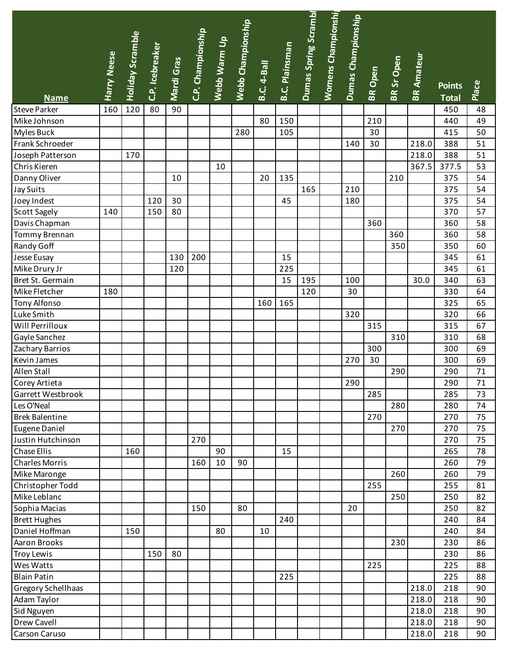|                                    |                    |                         |                 |            |                   |              | Webb Championship |                    |                       | Dumas Spring Scrambl | Womens Championshi | Dumas Championship |         |            |                   |                     |          |
|------------------------------------|--------------------|-------------------------|-----------------|------------|-------------------|--------------|-------------------|--------------------|-----------------------|----------------------|--------------------|--------------------|---------|------------|-------------------|---------------------|----------|
|                                    |                    | <b>Holiday Scramble</b> |                 |            | C.P. Championship | Webb Warm Up |                   |                    |                       |                      |                    |                    |         |            |                   |                     |          |
|                                    |                    |                         | C.P. Icebreaker |            |                   |              |                   |                    | <b>B.C. Plainsman</b> |                      |                    |                    |         |            |                   |                     |          |
|                                    | <b>Harry Neese</b> |                         |                 | Mardi Gras |                   |              |                   | <b>B.C. 4-Ball</b> |                       |                      |                    |                    |         | BR Sr Open | <b>BR Amateur</b> |                     |          |
|                                    |                    |                         |                 |            |                   |              |                   |                    |                       |                      |                    |                    | BR Open |            |                   |                     |          |
|                                    |                    |                         |                 |            |                   |              |                   |                    |                       |                      |                    |                    |         |            |                   | <b>Points</b>       | Place    |
| <b>Name</b><br><b>Steve Parker</b> | 160                | 120                     | 80              | 90         |                   |              |                   |                    |                       |                      |                    |                    |         |            |                   | <b>Total</b><br>450 | 48       |
| Mike Johnson                       |                    |                         |                 |            |                   |              |                   | 80                 | 150                   |                      |                    |                    | 210     |            |                   | 440                 | 49       |
|                                    |                    |                         |                 |            |                   |              | 280               |                    |                       |                      |                    |                    | 30      |            |                   | 415                 | 50       |
| Myles Buck<br>Frank Schroeder      |                    |                         |                 |            |                   |              |                   |                    | 105                   |                      |                    | 140                | 30      |            | 218.0             | 388                 | 51       |
|                                    |                    | 170                     |                 |            |                   |              |                   |                    |                       |                      |                    |                    |         |            |                   | 388                 | 51       |
| Joseph Patterson                   |                    |                         |                 |            |                   |              |                   |                    |                       |                      |                    |                    |         |            | 218.0             |                     |          |
| Chris Kieren                       |                    |                         |                 |            |                   | 10           |                   |                    |                       |                      |                    |                    |         |            | 367.5             | 377.5               | 53<br>54 |
| Danny Oliver                       |                    |                         |                 | 10         |                   |              |                   | 20                 | 135                   |                      |                    |                    |         | 210        |                   | 375                 |          |
| Jay Suits                          |                    |                         |                 | 30         |                   |              |                   |                    |                       | 165                  |                    | 210                |         |            |                   | 375                 | 54       |
| Joey Indest                        |                    |                         | 120             |            |                   |              |                   |                    | 45                    |                      |                    | 180                |         |            |                   | 375                 | 54       |
| Scott Sagely                       | 140                |                         | 150             | 80         |                   |              |                   |                    |                       |                      |                    |                    |         |            |                   | 370                 | 57       |
| Davis Chapman                      |                    |                         |                 |            |                   |              |                   |                    |                       |                      |                    |                    | 360     |            |                   | 360                 | 58       |
| Tommy Brennan                      |                    |                         |                 |            |                   |              |                   |                    |                       |                      |                    |                    |         | 360        |                   | 360                 | 58       |
| Randy Goff                         |                    |                         |                 |            |                   |              |                   |                    |                       |                      |                    |                    |         | 350        |                   | 350                 | 60       |
| Jesse Eusay                        |                    |                         |                 | 130        | 200               |              |                   |                    | 15                    |                      |                    |                    |         |            |                   | 345                 | 61       |
| Mike Drury Jr                      |                    |                         |                 | 120        |                   |              |                   |                    | 225                   |                      |                    |                    |         |            |                   | 345                 | 61       |
| Bret St. Germain                   |                    |                         |                 |            |                   |              |                   |                    | 15                    | 195                  |                    | 100                |         |            | 30.0              | 340                 | 63       |
| Mike Fletcher                      | 180                |                         |                 |            |                   |              |                   |                    |                       | 120                  |                    | 30                 |         |            |                   | 330                 | 64       |
| Tony Alfonso                       |                    |                         |                 |            |                   |              |                   | 160                | 165                   |                      |                    |                    |         |            |                   | 325                 | 65       |
| Luke Smith                         |                    |                         |                 |            |                   |              |                   |                    |                       |                      |                    | 320                |         |            |                   | 320                 | 66       |
| Will Perrilloux                    |                    |                         |                 |            |                   |              |                   |                    |                       |                      |                    |                    | 315     |            |                   | 315                 | 67       |
| Gayle Sanchez                      |                    |                         |                 |            |                   |              |                   |                    |                       |                      |                    |                    |         | 310        |                   | 310                 | 68       |
| Zachary Barrios                    |                    |                         |                 |            |                   |              |                   |                    |                       |                      |                    |                    | 300     |            |                   | 300                 | 69       |
| Kevin James                        |                    |                         |                 |            |                   |              |                   |                    |                       |                      |                    | 270                | 30      |            |                   | 300                 | 69       |
| Allen Stall                        |                    |                         |                 |            |                   |              |                   |                    |                       |                      |                    |                    |         | 290        |                   | 290                 | 71       |
| Corey Artieta                      |                    |                         |                 |            |                   |              |                   |                    |                       |                      |                    | 290                |         |            |                   | 290                 | 71       |
| Garrett Westbrook                  |                    |                         |                 |            |                   |              |                   |                    |                       |                      |                    |                    | 285     |            |                   | 285                 | 73       |
| Les O'Neal                         |                    |                         |                 |            |                   |              |                   |                    |                       |                      |                    |                    |         | 280        |                   | 280                 | 74       |
| <b>Brek Balentine</b>              |                    |                         |                 |            |                   |              |                   |                    |                       |                      |                    |                    | 270     |            |                   | 270                 | 75       |
| Eugene Daniel                      |                    |                         |                 |            |                   |              |                   |                    |                       |                      |                    |                    |         | 270        |                   | 270                 | 75       |
| Justin Hutchinson                  |                    |                         |                 |            | 270               |              |                   |                    |                       |                      |                    |                    |         |            |                   | 270                 | 75       |
| Chase Ellis                        |                    | 160                     |                 |            |                   | 90           |                   |                    | 15                    |                      |                    |                    |         |            |                   | 265                 | 78       |
| <b>Charles Morris</b>              |                    |                         |                 |            | 160               | 10           | 90                |                    |                       |                      |                    |                    |         |            |                   | 260                 | 79       |
| Mike Maronge                       |                    |                         |                 |            |                   |              |                   |                    |                       |                      |                    |                    |         | 260        |                   | 260                 | 79       |
| Christopher Todd                   |                    |                         |                 |            |                   |              |                   |                    |                       |                      |                    |                    | 255     |            |                   | 255                 | 81       |
| Mike Leblanc                       |                    |                         |                 |            |                   |              |                   |                    |                       |                      |                    |                    |         | 250        |                   | 250                 | 82       |
| Sophia Macias                      |                    |                         |                 |            | 150               |              | 80                |                    |                       |                      |                    | 20                 |         |            |                   | 250                 | 82       |
| <b>Brett Hughes</b>                |                    |                         |                 |            |                   |              |                   |                    | 240                   |                      |                    |                    |         |            |                   | 240                 | 84       |
| Daniel Hoffman                     |                    | 150                     |                 |            |                   | 80           |                   | 10                 |                       |                      |                    |                    |         |            |                   | 240                 | 84       |
| Aaron Brooks                       |                    |                         |                 |            |                   |              |                   |                    |                       |                      |                    |                    |         | 230        |                   | 230                 | 86       |
| <b>Troy Lewis</b>                  |                    |                         | 150             | 80         |                   |              |                   |                    |                       |                      |                    |                    |         |            |                   | 230                 | 86       |
| Wes Watts                          |                    |                         |                 |            |                   |              |                   |                    |                       |                      |                    |                    | 225     |            |                   | 225                 | 88       |
| <b>Blain Patin</b>                 |                    |                         |                 |            |                   |              |                   |                    | 225                   |                      |                    |                    |         |            |                   | 225                 | 88       |
| Gregory Schellhaas                 |                    |                         |                 |            |                   |              |                   |                    |                       |                      |                    |                    |         |            | 218.0             | 218                 | 90       |
| Adam Taylor                        |                    |                         |                 |            |                   |              |                   |                    |                       |                      |                    |                    |         |            | 218.0             | 218                 | 90       |
| Sid Nguyen                         |                    |                         |                 |            |                   |              |                   |                    |                       |                      |                    |                    |         |            | 218.0             | 218                 | 90       |
| Drew Cavell                        |                    |                         |                 |            |                   |              |                   |                    |                       |                      |                    |                    |         |            | 218.0             | 218                 | 90       |
| Carson Caruso                      |                    |                         |                 |            |                   |              |                   |                    |                       |                      |                    |                    |         |            | 218.0             | 218                 | 90       |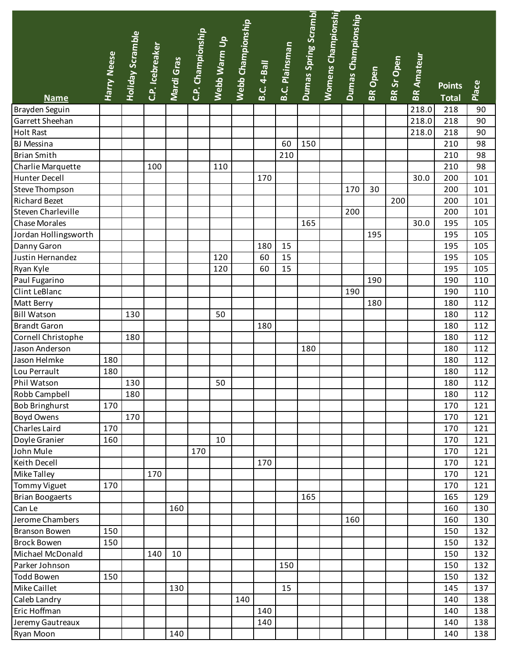|                        |             | <b>Holiday Scramble</b> |     | C.P. Icebreaker<br>Mardi Gras<br>C.P. Championship |     |     | Webb Warm Up<br>Webb Championship |                    |                       | Dumas Spring Scrambl | Womens Championshi | Dumas Championship |                |            |                   |               |       |
|------------------------|-------------|-------------------------|-----|----------------------------------------------------|-----|-----|-----------------------------------|--------------------|-----------------------|----------------------|--------------------|--------------------|----------------|------------|-------------------|---------------|-------|
|                        |             |                         |     |                                                    |     |     |                                   |                    | <b>B.C. Plainsman</b> |                      |                    |                    |                |            |                   |               |       |
|                        | Harry Neese |                         |     |                                                    |     |     |                                   | <b>B.C. 4-Ball</b> |                       |                      |                    |                    |                | BR Sr Open | <b>BR Amateur</b> |               |       |
|                        |             |                         |     |                                                    |     |     |                                   |                    |                       |                      |                    |                    | <b>BR Open</b> |            |                   |               |       |
|                        |             |                         |     |                                                    |     |     |                                   |                    |                       |                      |                    |                    |                |            |                   | <b>Points</b> | Place |
| <b>Name</b>            |             |                         |     |                                                    |     |     |                                   |                    |                       |                      |                    |                    |                |            |                   | <b>Total</b>  |       |
| Brayden Seguin         |             |                         |     |                                                    |     |     |                                   |                    |                       |                      |                    |                    |                |            | 218.0<br>218.0    | 218           | 90    |
| Garrett Sheehan        |             |                         |     |                                                    |     |     |                                   |                    |                       |                      |                    |                    |                |            |                   | 218           | 90    |
| <b>Holt Rast</b>       |             |                         |     |                                                    |     |     |                                   |                    |                       |                      |                    |                    |                |            | 218.0             | 218           | 90    |
| <b>BJ</b> Messina      |             |                         |     |                                                    |     |     |                                   |                    | 60                    | 150                  |                    |                    |                |            |                   | 210           | 98    |
| <b>Brian Smith</b>     |             |                         |     |                                                    |     |     |                                   |                    | 210                   |                      |                    |                    |                |            |                   | 210           | 98    |
| Charlie Marquette      |             |                         | 100 |                                                    |     | 110 |                                   |                    |                       |                      |                    |                    |                |            |                   | 210           | 98    |
| Hunter Decell          |             |                         |     |                                                    |     |     |                                   | 170                |                       |                      |                    |                    |                |            | 30.0              | 200           | 101   |
| Steve Thompson         |             |                         |     |                                                    |     |     |                                   |                    |                       |                      |                    | 170                | 30             |            |                   | 200           | 101   |
| <b>Richard Bezet</b>   |             |                         |     |                                                    |     |     |                                   |                    |                       |                      |                    |                    |                | 200        |                   | 200           | 101   |
| Steven Charleville     |             |                         |     |                                                    |     |     |                                   |                    |                       |                      |                    | 200                |                |            |                   | 200           | 101   |
| <b>Chase Morales</b>   |             |                         |     |                                                    |     |     |                                   |                    |                       | 165                  |                    |                    |                |            | 30.0              | 195           | 105   |
| Jordan Hollingsworth   |             |                         |     |                                                    |     |     |                                   |                    |                       |                      |                    |                    | 195            |            |                   | 195           | 105   |
| Danny Garon            |             |                         |     |                                                    |     |     |                                   | 180                | 15                    |                      |                    |                    |                |            |                   | 195           | 105   |
| Justin Hernandez       |             |                         |     |                                                    |     | 120 |                                   | 60                 | 15                    |                      |                    |                    |                |            |                   | 195           | 105   |
| Ryan Kyle              |             |                         |     |                                                    |     | 120 |                                   | 60                 | 15                    |                      |                    |                    |                |            |                   | 195           | 105   |
| Paul Fugarino          |             |                         |     |                                                    |     |     |                                   |                    |                       |                      |                    |                    | 190            |            |                   | 190           | 110   |
| Clint LeBlanc          |             |                         |     |                                                    |     |     |                                   |                    |                       |                      |                    | 190                |                |            |                   | 190           | 110   |
| Matt Berry             |             |                         |     |                                                    |     |     |                                   |                    |                       |                      |                    |                    | 180            |            |                   | 180           | 112   |
| <b>Bill Watson</b>     |             | 130                     |     |                                                    |     | 50  |                                   |                    |                       |                      |                    |                    |                |            |                   | 180           | 112   |
| <b>Brandt Garon</b>    |             |                         |     |                                                    |     |     |                                   | 180                |                       |                      |                    |                    |                |            |                   | 180           | 112   |
| Cornell Christophe     |             | 180                     |     |                                                    |     |     |                                   |                    |                       |                      |                    |                    |                |            |                   | 180           | 112   |
| Jason Anderson         |             |                         |     |                                                    |     |     |                                   |                    |                       | 180                  |                    |                    |                |            |                   | 180           | 112   |
| Jason Helmke           | 180         |                         |     |                                                    |     |     |                                   |                    |                       |                      |                    |                    |                |            |                   | 180           | 112   |
| Lou Perrault           | 180         |                         |     |                                                    |     |     |                                   |                    |                       |                      |                    |                    |                |            |                   | 180           | 112   |
| Phil Watson            |             | 130                     |     |                                                    |     | 50  |                                   |                    |                       |                      |                    |                    |                |            |                   | 180           | 112   |
| Robb Campbell          |             | 180                     |     |                                                    |     |     |                                   |                    |                       |                      |                    |                    |                |            |                   | 180           | 112   |
| <b>Bob Bringhurst</b>  | 170         |                         |     |                                                    |     |     |                                   |                    |                       |                      |                    |                    |                |            |                   | 170           | 121   |
| <b>Boyd Owens</b>      |             | 170                     |     |                                                    |     |     |                                   |                    |                       |                      |                    |                    |                |            |                   | 170           | 121   |
| Charles Laird          | 170         |                         |     |                                                    |     |     |                                   |                    |                       |                      |                    |                    |                |            |                   | 170           | 121   |
| Doyle Granier          | 160         |                         |     |                                                    |     | 10  |                                   |                    |                       |                      |                    |                    |                |            |                   | 170           | 121   |
| John Mule              |             |                         |     |                                                    | 170 |     |                                   |                    |                       |                      |                    |                    |                |            |                   | 170           | 121   |
| Keith Decell           |             |                         |     |                                                    |     |     |                                   | 170                |                       |                      |                    |                    |                |            |                   | 170           | 121   |
| Mike Talley            |             |                         | 170 |                                                    |     |     |                                   |                    |                       |                      |                    |                    |                |            |                   | 170           | 121   |
| <b>Tommy Viguet</b>    | 170         |                         |     |                                                    |     |     |                                   |                    |                       |                      |                    |                    |                |            |                   | 170           | 121   |
| <b>Brian Boogaerts</b> |             |                         |     |                                                    |     |     |                                   |                    |                       | 165                  |                    |                    |                |            |                   | 165           | 129   |
| Can Le                 |             |                         |     | 160                                                |     |     |                                   |                    |                       |                      |                    |                    |                |            |                   | 160           | 130   |
| Jerome Chambers        |             |                         |     |                                                    |     |     |                                   |                    |                       |                      |                    | 160                |                |            |                   | 160           | 130   |
| <b>Branson Bowen</b>   | 150         |                         |     |                                                    |     |     |                                   |                    |                       |                      |                    |                    |                |            |                   | 150           | 132   |
| <b>Brock Bowen</b>     | 150         |                         |     |                                                    |     |     |                                   |                    |                       |                      |                    |                    |                |            |                   | 150           | 132   |
| Michael McDonald       |             |                         | 140 | 10                                                 |     |     |                                   |                    |                       |                      |                    |                    |                |            |                   | 150           | 132   |
| Parker Johnson         |             |                         |     |                                                    |     |     |                                   |                    | 150                   |                      |                    |                    |                |            |                   |               | 132   |
|                        |             |                         |     |                                                    |     |     |                                   |                    |                       |                      |                    |                    |                |            |                   | 150           |       |
| <b>Todd Bowen</b>      | 150         |                         |     |                                                    |     |     |                                   |                    |                       |                      |                    |                    |                |            |                   | 150           | 132   |
| Mike Caillet           |             |                         |     | 130                                                |     |     |                                   |                    | 15                    |                      |                    |                    |                |            |                   | 145           | 137   |
| Caleb Landry           |             |                         |     |                                                    |     |     | 140                               |                    |                       |                      |                    |                    |                |            |                   | 140           | 138   |
| Eric Hoffman           |             |                         |     |                                                    |     |     |                                   | 140                |                       |                      |                    |                    |                |            |                   | 140           | 138   |
| Jeremy Gautreaux       |             |                         |     |                                                    |     |     |                                   | 140                |                       |                      |                    |                    |                |            |                   | 140           | 138   |
| Ryan Moon              |             |                         |     | 140                                                |     |     |                                   |                    |                       |                      |                    |                    |                |            |                   | 140           | 138   |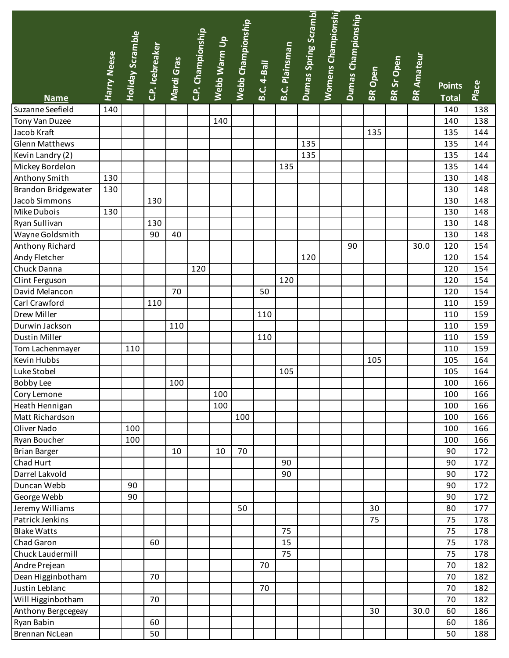|                       |             |                         |     | C.P. Icebreaker<br>Mardi Gras<br>C.P. Championship |     | Webb Warm Up<br>Webb Championship |     |                    |                       | Dumas Spring Scrambl | Womens Championshi | Dumas Championship |         |                   |                   |               |       |
|-----------------------|-------------|-------------------------|-----|----------------------------------------------------|-----|-----------------------------------|-----|--------------------|-----------------------|----------------------|--------------------|--------------------|---------|-------------------|-------------------|---------------|-------|
|                       |             | <b>Holiday Scramble</b> |     |                                                    |     |                                   |     |                    |                       |                      |                    |                    |         |                   |                   |               |       |
|                       | Harry Neese |                         |     |                                                    |     |                                   |     |                    | <b>B.C. Plainsman</b> |                      |                    |                    |         |                   |                   |               |       |
|                       |             |                         |     |                                                    |     |                                   |     | <b>B.C. 4-Ball</b> |                       |                      |                    |                    | BR Open | <b>BR Sr Open</b> | <b>BR Amateur</b> |               |       |
|                       |             |                         |     |                                                    |     |                                   |     |                    |                       |                      |                    |                    |         |                   |                   | <b>Points</b> |       |
| <b>Name</b>           |             |                         |     |                                                    |     |                                   |     |                    |                       |                      |                    |                    |         |                   |                   | <b>Total</b>  | Place |
| Suzanne Seefield      | 140         |                         |     |                                                    |     |                                   |     |                    |                       |                      |                    |                    |         |                   |                   | 140           | 138   |
| Tony Van Duzee        |             |                         |     |                                                    |     | 140                               |     |                    |                       |                      |                    |                    |         |                   |                   | 140           | 138   |
| Jacob Kraft           |             |                         |     |                                                    |     |                                   |     |                    |                       |                      |                    |                    | 135     |                   |                   | 135           | 144   |
| <b>Glenn Matthews</b> |             |                         |     |                                                    |     |                                   |     |                    |                       | 135                  |                    |                    |         |                   |                   | 135           | 144   |
| Kevin Landry (2)      |             |                         |     |                                                    |     |                                   |     |                    |                       | 135                  |                    |                    |         |                   |                   | 135           | 144   |
| Mickey Bordelon       |             |                         |     |                                                    |     |                                   |     |                    | 135                   |                      |                    |                    |         |                   |                   | 135           | 144   |
| Anthony Smith         | 130         |                         |     |                                                    |     |                                   |     |                    |                       |                      |                    |                    |         |                   |                   | 130           | 148   |
| Brandon Bridgewater   | 130         |                         |     |                                                    |     |                                   |     |                    |                       |                      |                    |                    |         |                   |                   | 130           | 148   |
| Jacob Simmons         |             |                         | 130 |                                                    |     |                                   |     |                    |                       |                      |                    |                    |         |                   |                   | 130           | 148   |
| Mike Dubois           | 130         |                         |     |                                                    |     |                                   |     |                    |                       |                      |                    |                    |         |                   |                   | 130           | 148   |
| Ryan Sullivan         |             |                         | 130 |                                                    |     |                                   |     |                    |                       |                      |                    |                    |         |                   |                   | 130           | 148   |
| Wayne Goldsmith       |             |                         | 90  | 40                                                 |     |                                   |     |                    |                       |                      |                    |                    |         |                   |                   | 130           | 148   |
| Anthony Richard       |             |                         |     |                                                    |     |                                   |     |                    |                       |                      |                    | 90                 |         |                   | 30.0              | 120           | 154   |
| Andy Fletcher         |             |                         |     |                                                    |     |                                   |     |                    |                       | 120                  |                    |                    |         |                   |                   | 120           | 154   |
| Chuck Danna           |             |                         |     |                                                    | 120 |                                   |     |                    |                       |                      |                    |                    |         |                   |                   | 120           | 154   |
| Clint Ferguson        |             |                         |     |                                                    |     |                                   |     |                    | 120                   |                      |                    |                    |         |                   |                   | 120           | 154   |
| David Melancon        |             |                         |     | 70                                                 |     |                                   |     | 50                 |                       |                      |                    |                    |         |                   |                   | 120           | 154   |
| Carl Crawford         |             |                         | 110 |                                                    |     |                                   |     |                    |                       |                      |                    |                    |         |                   |                   | 110           | 159   |
| <b>Drew Miller</b>    |             |                         |     |                                                    |     |                                   |     | 110                |                       |                      |                    |                    |         |                   |                   | 110           | 159   |
| Durwin Jackson        |             |                         |     | 110                                                |     |                                   |     |                    |                       |                      |                    |                    |         |                   |                   | 110           | 159   |
| Dustin Miller         |             |                         |     |                                                    |     |                                   |     | 110                |                       |                      |                    |                    |         |                   |                   | 110           | 159   |
| Tom Lachenmayer       |             | 110                     |     |                                                    |     |                                   |     |                    |                       |                      |                    |                    |         |                   |                   | 110           | 159   |
| Kevin Hubbs           |             |                         |     |                                                    |     |                                   |     |                    |                       |                      |                    |                    | 105     |                   |                   | 105           | 164   |
| Luke Stobel           |             |                         |     |                                                    |     |                                   |     |                    | 105                   |                      |                    |                    |         |                   |                   | 105           | 164   |
| <b>Bobby Lee</b>      |             |                         |     | 100                                                |     |                                   |     |                    |                       |                      |                    |                    |         |                   |                   | 100           | 166   |
| Cory Lemone           |             |                         |     |                                                    |     | 100                               |     |                    |                       |                      |                    |                    |         |                   |                   | 100           | 166   |
| Heath Hennigan        |             |                         |     |                                                    |     | 100                               |     |                    |                       |                      |                    |                    |         |                   |                   | 100           | 166   |
| Matt Richardson       |             |                         |     |                                                    |     |                                   | 100 |                    |                       |                      |                    |                    |         |                   |                   | 100           | 166   |
| Oliver Nado           |             | 100                     |     |                                                    |     |                                   |     |                    |                       |                      |                    |                    |         |                   |                   | 100           | 166   |
| Ryan Boucher          |             | 100                     |     |                                                    |     |                                   |     |                    |                       |                      |                    |                    |         |                   |                   | 100           | 166   |
| <b>Brian Barger</b>   |             |                         |     | 10                                                 |     | 10                                | 70  |                    |                       |                      |                    |                    |         |                   |                   | 90            | 172   |
| Chad Hurt             |             |                         |     |                                                    |     |                                   |     |                    | 90                    |                      |                    |                    |         |                   |                   | 90            | 172   |
| Darrel Lakvold        |             |                         |     |                                                    |     |                                   |     |                    | 90                    |                      |                    |                    |         |                   |                   | 90            | 172   |
| Duncan Webb           |             | 90                      |     |                                                    |     |                                   |     |                    |                       |                      |                    |                    |         |                   |                   | 90            | 172   |
| George Webb           |             | 90                      |     |                                                    |     |                                   |     |                    |                       |                      |                    |                    |         |                   |                   | 90            | 172   |
| Jeremy Williams       |             |                         |     |                                                    |     |                                   | 50  |                    |                       |                      |                    |                    | 30      |                   |                   | 80            | 177   |
| Patrick Jenkins       |             |                         |     |                                                    |     |                                   |     |                    |                       |                      |                    |                    | 75      |                   |                   | 75            | 178   |
| <b>Blake Watts</b>    |             |                         |     |                                                    |     |                                   |     |                    | 75                    |                      |                    |                    |         |                   |                   | 75            | 178   |
| Chad Garon            |             |                         | 60  |                                                    |     |                                   |     |                    | 15                    |                      |                    |                    |         |                   |                   | 75            | 178   |
| Chuck Laudermill      |             |                         |     |                                                    |     |                                   |     |                    | 75                    |                      |                    |                    |         |                   |                   | 75            | 178   |
| Andre Prejean         |             |                         |     |                                                    |     |                                   |     | 70                 |                       |                      |                    |                    |         |                   |                   | 70            | 182   |
| Dean Higginbotham     |             |                         | 70  |                                                    |     |                                   |     |                    |                       |                      |                    |                    |         |                   |                   | 70            | 182   |
| Justin Leblanc        |             |                         |     |                                                    |     |                                   |     | 70                 |                       |                      |                    |                    |         |                   |                   | 70            | 182   |
| Will Higginbotham     |             |                         | 70  |                                                    |     |                                   |     |                    |                       |                      |                    |                    |         |                   |                   | 70            | 182   |
| Anthony Bergcegeay    |             |                         |     |                                                    |     |                                   |     |                    |                       |                      |                    |                    | 30      |                   | 30.0              | 60            | 186   |
| Ryan Babin            |             |                         | 60  |                                                    |     |                                   |     |                    |                       |                      |                    |                    |         |                   |                   | 60            | 186   |
| Brennan NcLean        |             |                         | 50  |                                                    |     |                                   |     |                    |                       |                      |                    |                    |         |                   |                   | 50            | 188   |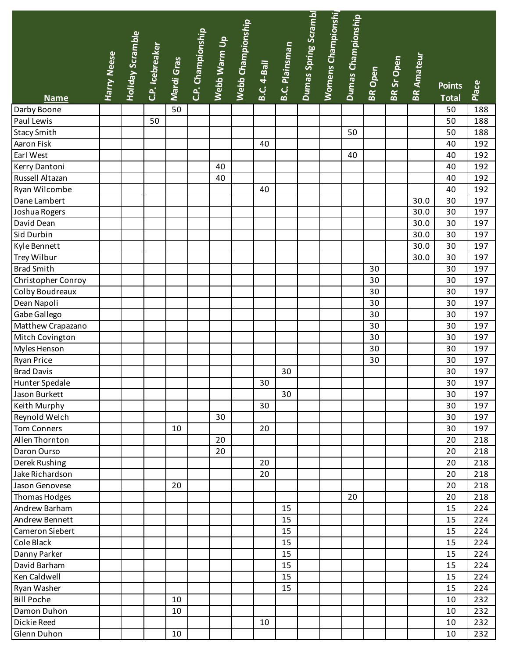| Dumas Spring Scrambl<br>Womens Championshi<br>Dumas Championship<br>.<br>Webb Championship<br>C.P. Championship |         |            |                   |               |       |
|-----------------------------------------------------------------------------------------------------------------|---------|------------|-------------------|---------------|-------|
| Holiday Scramble<br>Webb Warm Up                                                                                |         |            |                   |               |       |
| C.P. Icebreaker<br><b>B.C. Plainsman</b><br>Harry Neese<br>Mardi Gras                                           |         | BR Sr Open | <b>BR Amateur</b> |               |       |
| <b>B.C. 4-Ball</b>                                                                                              | BR Open |            |                   |               |       |
|                                                                                                                 |         |            |                   | <b>Points</b> | Place |
| <b>Name</b>                                                                                                     |         |            |                   | <b>Total</b>  |       |
| 50<br>Darby Boone                                                                                               |         |            |                   | 50            | 188   |
| Paul Lewis<br>50                                                                                                |         |            |                   | 50            | 188   |
| <b>Stacy Smith</b><br>50                                                                                        |         |            |                   | 50            | 188   |
| Aaron Fisk<br>40                                                                                                |         |            |                   | 40            | 192   |
| Earl West<br>40                                                                                                 |         |            |                   | 40            | 192   |
| Kerry Dantoni<br>40                                                                                             |         |            |                   | 40            | 192   |
| Russell Altazan<br>40                                                                                           |         |            |                   | 40            | 192   |
| Ryan Wilcombe<br>40                                                                                             |         |            |                   | 40            | 192   |
| Dane Lambert                                                                                                    |         |            | 30.0              | 30            | 197   |
| Joshua Rogers                                                                                                   |         |            | 30.0              | 30            | 197   |
| David Dean                                                                                                      |         |            | 30.0              | 30            | 197   |
| Sid Durbin                                                                                                      |         |            | 30.0              | 30            | 197   |
| Kyle Bennett                                                                                                    |         |            | 30.0              | 30            | 197   |
| <b>Trey Wilbur</b>                                                                                              |         |            | 30.0              | 30            | 197   |
| <b>Brad Smith</b>                                                                                               | 30      |            |                   | 30            | 197   |
| Christopher Conroy                                                                                              | 30      |            |                   | 30            | 197   |
| Colby Boudreaux                                                                                                 | 30      |            |                   | 30            | 197   |
| Dean Napoli                                                                                                     | 30      |            |                   | 30            | 197   |
| Gabe Gallego                                                                                                    | 30      |            |                   | 30            | 197   |
| Matthew Crapazano                                                                                               | 30      |            |                   | 30            | 197   |
| Mitch Covington                                                                                                 | 30      |            |                   | 30            | 197   |
| Myles Henson                                                                                                    | 30      |            |                   | 30            | 197   |
| Ryan Price                                                                                                      | 30      |            |                   | 30            | 197   |
| <b>Brad Davis</b><br>30                                                                                         |         |            |                   | 30            | 197   |
| <b>Hunter Spedale</b><br>30                                                                                     |         |            |                   | 30            | 197   |
| 30<br>Jason Burkett                                                                                             |         |            |                   | 30            | 197   |
| 30<br>Keith Murphy                                                                                              |         |            |                   | 30            | 197   |
| Reynold Welch<br>30                                                                                             |         |            |                   | 30            | 197   |
| Tom Conners<br>20<br>10                                                                                         |         |            |                   | 30            | 197   |
| Allen Thornton<br>20                                                                                            |         |            |                   | 20            | 218   |
| Daron Ourso<br>20                                                                                               |         |            |                   | 20            | 218   |
| Derek Rushing<br>20                                                                                             |         |            |                   | 20            | 218   |
| 20<br>Jake Richardson                                                                                           |         |            |                   | 20            | 218   |
| Jason Genovese<br>20                                                                                            |         |            |                   | 20            | 218   |
| Thomas Hodges<br>20                                                                                             |         |            |                   | 20            | 218   |
| Andrew Barham<br>15                                                                                             |         |            |                   | 15            | 224   |
| Andrew Bennett<br>15                                                                                            |         |            |                   | 15            | 224   |
| Cameron Siebert<br>15                                                                                           |         |            |                   | 15            | 224   |
| Cole Black<br>15                                                                                                |         |            |                   | 15            | 224   |
| 15<br>Danny Parker                                                                                              |         |            |                   | 15            | 224   |
| 15<br>David Barham                                                                                              |         |            |                   | 15            | 224   |
| Ken Caldwell<br>15                                                                                              |         |            |                   | 15            | 224   |
| Ryan Washer<br>15                                                                                               |         |            |                   | 15            | 224   |
| <b>Bill Poche</b><br>10                                                                                         |         |            |                   | 10            | 232   |
| Damon Duhon<br>10                                                                                               |         |            |                   | 10            | 232   |
| Dickie Reed<br>10                                                                                               |         |            |                   | 10            | 232   |
| Glenn Duhon<br>10                                                                                               |         |            |                   | 10            | 232   |